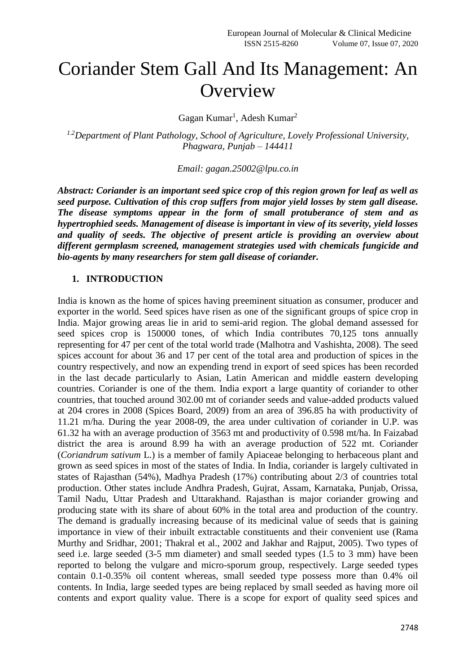# Coriander Stem Gall And Its Management: An **Overview**

Gagan Kumar<sup>1</sup>, Adesh Kumar<sup>2</sup>

*1.2Department of Plant Pathology, School of Agriculture, Lovely Professional University, Phagwara, Punjab – 144411*

*Email: gagan.25002@lpu.co.in*

*Abstract: Coriander is an important seed spice crop of this region grown for leaf as well as seed purpose. Cultivation of this crop suffers from major yield losses by stem gall disease. The disease symptoms appear in the form of small protuberance of stem and as hypertrophied seeds. Management of disease is important in view of its severity, yield losses and quality of seeds. The objective of present article is providing an overview about different germplasm screened, management strategies used with chemicals fungicide and bio-agents by many researchers for stem gall disease of coriander.*

### **1. INTRODUCTION**

India is known as the home of spices having preeminent situation as consumer, producer and exporter in the world. Seed spices have risen as one of the significant groups of spice crop in India. Major growing areas lie in arid to semi-arid region. The global demand assessed for seed spices crop is 150000 tones, of which India contributes 70,125 tons annually representing for 47 per cent of the total world trade (Malhotra and Vashishta, 2008). The seed spices account for about 36 and 17 per cent of the total area and production of spices in the country respectively, and now an expending trend in export of seed spices has been recorded in the last decade particularly to Asian, Latin American and middle eastern developing countries. Coriander is one of the them. India export a large quantity of coriander to other countries, that touched around 302.00 mt of coriander seeds and value-added products valued at 204 crores in 2008 (Spices Board, 2009) from an area of 396.85 ha with productivity of 11.21 m/ha. During the year 2008-09, the area under cultivation of coriander in U.P. was 61.32 ha with an average production of 3563 mt and productivity of 0.598 mt/ha. In Faizabad district the area is around 8.99 ha with an average production of 522 mt. Coriander (*Coriandrum sativum* L.) is a member of family Apiaceae belonging to herbaceous plant and grown as seed spices in most of the states of India. In India, coriander is largely cultivated in states of Rajasthan (54%), Madhya Pradesh (17%) contributing about 2/3 of countries total production. Other states include Andhra Pradesh, Gujrat, Assam, Karnataka, Punjab, Orissa, Tamil Nadu, Uttar Pradesh and Uttarakhand. Rajasthan is major coriander growing and producing state with its share of about 60% in the total area and production of the country. The demand is gradually increasing because of its medicinal value of seeds that is gaining importance in view of their inbuilt extractable constituents and their convenient use (Rama Murthy and Sridhar, 2001; Thakral et al., 2002 and Jakhar and Rajput, 2005). Two types of seed i.e. large seeded (3-5 mm diameter) and small seeded types (1.5 to 3 mm) have been reported to belong the vulgare and micro-sporum group, respectively. Large seeded types contain 0.1-0.35% oil content whereas, small seeded type possess more than 0.4% oil contents. In India, large seeded types are being replaced by small seeded as having more oil contents and export quality value. There is a scope for export of quality seed spices and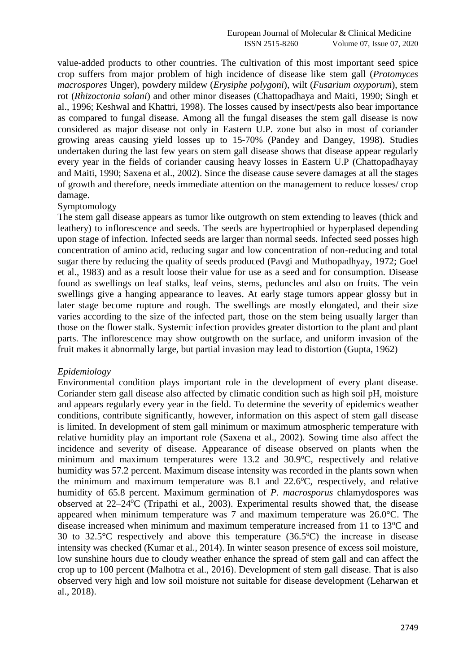value-added products to other countries. The cultivation of this most important seed spice crop suffers from major problem of high incidence of disease like stem gall (*Protomyces macrospores* Unger), powdery mildew (*Erysiphe polygoni*), wilt (*Fusarium oxyporum*), stem rot (*Rhizoctonia solani*) and other minor diseases (Chattopadhaya and Maiti, 1990; Singh et al., 1996; Keshwal and Khattri, 1998). The losses caused by insect/pests also bear importance as compared to fungal disease. Among all the fungal diseases the stem gall disease is now considered as major disease not only in Eastern U.P. zone but also in most of coriander growing areas causing yield losses up to 15-70% (Pandey and Dangey, 1998). Studies undertaken during the last few years on stem gall disease shows that disease appear regularly every year in the fields of coriander causing heavy losses in Eastern U.P (Chattopadhayay and Maiti, 1990; Saxena et al., 2002). Since the disease cause severe damages at all the stages of growth and therefore, needs immediate attention on the management to reduce losses/ crop damage.

## Symptomology

The stem gall disease appears as tumor like outgrowth on stem extending to leaves (thick and leathery) to inflorescence and seeds. The seeds are hypertrophied or hyperplased depending upon stage of infection. Infected seeds are larger than normal seeds. Infected seed posses high concentration of amino acid, reducing sugar and low concentration of non-reducing and total sugar there by reducing the quality of seeds produced (Pavgi and Muthopadhyay, 1972; Goel et al., 1983) and as a result loose their value for use as a seed and for consumption. Disease found as swellings on leaf stalks, leaf veins, stems, peduncles and also on fruits. The vein swellings give a hanging appearance to leaves. At early stage tumors appear glossy but in later stage become rupture and rough. The swellings are mostly elongated, and their size varies according to the size of the infected part, those on the stem being usually larger than those on the flower stalk. Systemic infection provides greater distortion to the plant and plant parts. The inflorescence may show outgrowth on the surface, and uniform invasion of the fruit makes it abnormally large, but partial invasion may lead to distortion (Gupta, 1962)

#### *Epidemiology*

Environmental condition plays important role in the development of every plant disease. Coriander stem gall disease also affected by climatic condition such as high soil pH, moisture and appears regularly every year in the field. To determine the severity of epidemics weather conditions, contribute significantly, however, information on this aspect of stem gall disease is limited. In development of stem gall minimum or maximum atmospheric temperature with relative humidity play an important role (Saxena et al., 2002). Sowing time also affect the incidence and severity of disease. Appearance of disease observed on plants when the minimum and maximum temperatures were  $13.2$  and  $30.9^{\circ}$ C, respectively and relative humidity was 57.2 percent. Maximum disease intensity was recorded in the plants sown when the minimum and maximum temperature was  $8.1$  and  $22.6^{\circ}$ C, respectively, and relative humidity of 65.8 percent. Maximum germination of *P. macrosporus* chlamydospores was observed at  $22-24$ <sup>o</sup>C (Tripathi et al., 2003). Experimental results showed that, the disease appeared when minimum temperature was 7 and maximum temperature was 26.0°C. The disease increased when minimum and maximum temperature increased from 11 to 13<sup>o</sup>C and 30 to  $32.5^{\circ}$ C respectively and above this temperature  $(36.5^{\circ}$ C) the increase in disease intensity was checked (Kumar et al., 2014). In winter season presence of excess soil moisture, low sunshine hours due to cloudy weather enhance the spread of stem gall and can affect the crop up to 100 percent (Malhotra et al., 2016). Development of stem gall disease. That is also observed very high and low soil moisture not suitable for disease development (Leharwan et al., 2018).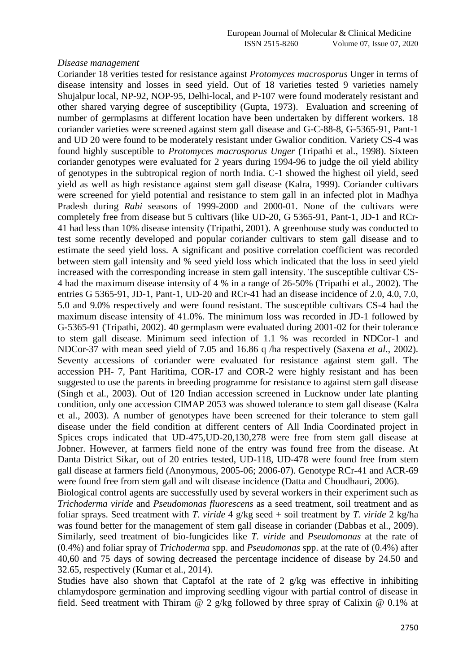#### *Disease management*

Coriander 18 verities tested for resistance against *Protomyces macrosporus* Unger in terms of disease intensity and losses in seed yield. Out of 18 varieties tested 9 varieties namely Shujalpur local, NP-92, NOP-95, Delhi-local, and P-107 were found moderately resistant and other shared varying degree of susceptibility (Gupta, 1973). Evaluation and screening of number of germplasms at different location have been undertaken by different workers. 18 coriander varieties were screened against stem gall disease and G-C-88-8, G-5365-91, Pant-1 and UD 20 were found to be moderately resistant under Gwalior condition. Variety CS-4 was found highly susceptible to *Protomyces macrosporus Unger* (Tripathi et al., 1998). Sixteen coriander genotypes were evaluated for 2 years during 1994-96 to judge the oil yield ability of genotypes in the subtropical region of north India. C-1 showed the highest oil yield, seed yield as well as high resistance against stem gall disease (Kalra*,* 1999). Coriander cultivars were screened for yield potential and resistance to stem gall in an infected plot in Madhya Pradesh during *Rabi* seasons of 1999-2000 and 2000-01. None of the cultivars were completely free from disease but 5 cultivars (like UD-20, G 5365-91, Pant-1, JD-1 and RCr-41 had less than 10% disease intensity (Tripathi, 2001). A greenhouse study was conducted to test some recently developed and popular coriander cultivars to stem gall disease and to estimate the seed yield loss. A significant and positive correlation coefficient was recorded between stem gall intensity and % seed yield loss which indicated that the loss in seed yield increased with the corresponding increase in stem gall intensity. The susceptible cultivar CS-4 had the maximum disease intensity of 4 % in a range of 26-50% (Tripathi et al., 2002). The entries G 5365-91, JD-1, Pant-1, UD-20 and RCr-41 had an disease incidence of 2.0, 4.0, 7.0, 5.0 and 9.0% respectively and were found resistant. The susceptible cultivars CS-4 had the maximum disease intensity of 41.0%. The minimum loss was recorded in JD-1 followed by G-5365-91 (Tripathi, 2002). 40 germplasm were evaluated during 2001-02 for their tolerance to stem gall disease. Minimum seed infection of 1.1 % was recorded in NDCor-1 and NDCor-37 with mean seed yield of 7.05 and 16.86 q /ha respectively (Saxena *et al*., 2002). Seventy accessions of coriander were evaluated for resistance against stem gall. The accession PH- 7, Pant Haritima, COR-17 and COR-2 were highly resistant and has been suggested to use the parents in breeding programme for resistance to against stem gall disease (Singh et al., 2003). Out of 120 Indian accession screened in Lucknow under late planting condition, only one accession CIMAP 2053 was showed tolerance to stem gall disease (Kalra et al., 2003). A number of genotypes have been screened for their tolerance to stem gall disease under the field condition at different centers of All India Coordinated project in Spices crops indicated that UD-475,UD-20,130,278 were free from stem gall disease at Jobner. However, at farmers field none of the entry was found free from the disease. At Danta District Sikar, out of 20 entries tested, UD-118, UD-478 were found free from stem gall disease at farmers field (Anonymous, 2005-06; 2006-07). Genotype RCr-41 and ACR-69 were found free from stem gall and wilt disease incidence (Datta and Choudhauri, 2006).

Biological control agents are successfully used by several workers in their experiment such as *Trichoderma viride* and *Pseudomonas fluorescens* as a seed treatment, soil treatment and as foliar sprays. Seed treatment with *T. viride* 4 g/kg seed + soil treatment by *T. viride* 2 kg/ha was found better for the management of stem gall disease in coriander (Dabbas et al., 2009). Similarly, seed treatment of bio-fungicides like *T. viride* and *Pseudomonas* at the rate of (0.4%) and foliar spray of *Trichoderma* spp. and *Pseudomonas* spp. at the rate of (0.4%) after 40,60 and 75 days of sowing decreased the percentage incidence of disease by 24.50 and 32.65, respectively (Kumar et al., 2014).

Studies have also shown that Captafol at the rate of 2 g/kg was effective in inhibiting chlamydospore germination and improving seedling vigour with partial control of disease in field. Seed treatment with Thiram @ 2 g/kg followed by three spray of Calixin @ 0.1% at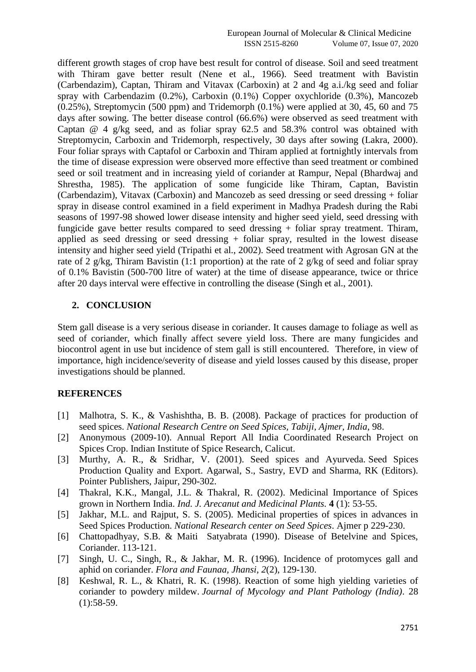different growth stages of crop have best result for control of disease. Soil and seed treatment with Thiram gave better result (Nene et al., 1966). Seed treatment with Bavistin (Carbendazim), Captan, Thiram and Vitavax (Carboxin) at 2 and 4g a.i./kg seed and foliar spray with Carbendazim (0.2%), Carboxin (0.1%) Copper oxychloride (0.3%), Mancozeb  $(0.25\%)$ , Streptomycin (500 ppm) and Tridemorph  $(0.1\%)$  were applied at 30, 45, 60 and 75 days after sowing. The better disease control (66.6%) were observed as seed treatment with Captan  $\omega$  4 g/kg seed, and as foliar spray 62.5 and 58.3% control was obtained with Streptomycin, Carboxin and Tridemorph, respectively, 30 days after sowing (Lakra, 2000). Four foliar sprays with Captafol or Carboxin and Thiram applied at fortnightly intervals from the time of disease expression were observed more effective than seed treatment or combined seed or soil treatment and in increasing yield of coriander at Rampur, Nepal (Bhardwaj and Shrestha, 1985). The application of some fungicide like Thiram, Captan, Bavistin (Carbendazim), Vitavax (Carboxin) and Mancozeb as seed dressing or seed dressing + foliar spray in disease control examined in a field experiment in Madhya Pradesh during the Rabi seasons of 1997-98 showed lower disease intensity and higher seed yield, seed dressing with fungicide gave better results compared to seed dressing + foliar spray treatment. Thiram, applied as seed dressing or seed dressing  $+$  foliar spray, resulted in the lowest disease intensity and higher seed yield (Tripathi et al., 2002). Seed treatment with Agrosan GN at the rate of 2 g/kg, Thiram Bavistin (1:1 proportion) at the rate of 2 g/kg of seed and foliar spray of 0.1% Bavistin (500-700 litre of water) at the time of disease appearance, twice or thrice after 20 days interval were effective in controlling the disease (Singh et al., 2001).

## **2. CONCLUSION**

Stem gall disease is a very serious disease in coriander. It causes damage to foliage as well as seed of coriander, which finally affect severe yield loss. There are many fungicides and biocontrol agent in use but incidence of stem gall is still encountered. Therefore, in view of importance, high incidence/severity of disease and yield losses caused by this disease, proper investigations should be planned.

# **REFERENCES**

- [1] Malhotra, S. K., & Vashishtha, B. B. (2008). Package of practices for production of seed spices. *National Research Centre on Seed Spices, Tabiji, Ajmer, India*, 98.
- [2] Anonymous (2009-10). Annual Report All India Coordinated Research Project on Spices Crop. Indian Institute of Spice Research, Calicut.
- [3] Murthy, A. R., & Sridhar, V. (2001). Seed spices and Ayurveda. Seed Spices Production Quality and Export. Agarwal, S., Sastry, EVD and Sharma, RK (Editors). Pointer Publishers, Jaipur, 290-302.
- [4] Thakral, K.K., Mangal, J.L. & Thakral, R. (2002). Medicinal Importance of Spices grown in Northern India. *Ind. J. Arecanut and Medicinal Plants.* **4** (1): 53-55.
- [5] Jakhar, M.L. and Rajput, S. S. (2005). Medicinal properties of spices in advances in Seed Spices Production. *National Research center on Seed Spices*. Ajmer p 229-230.
- [6] Chattopadhyay, S.B. & Maiti Satyabrata (1990). Disease of Betelvine and Spices, Coriander. 113-121.
- [7] Singh, U. C., Singh, R., & Jakhar, M. R. (1996). Incidence of protomyces gall and aphid on coriander. *Flora and Faunaa, Jhansi*, *2*(2), 129-130.
- [8] Keshwal, R. L., & Khatri, R. K. (1998). Reaction of some high yielding varieties of coriander to powdery mildew. *Journal of Mycology and Plant Pathology (India)*. 28  $(1):58-59.$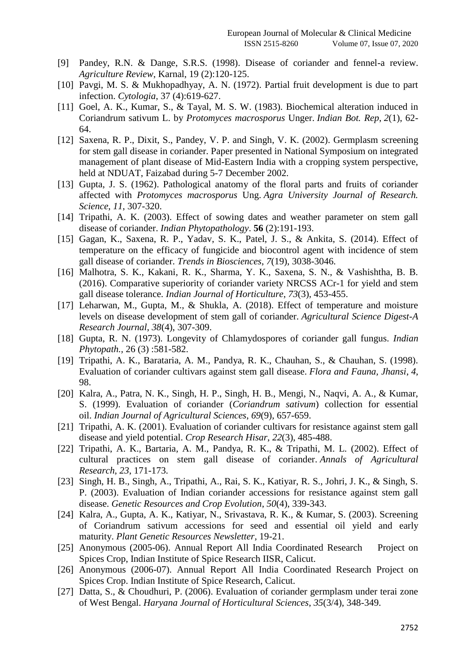- [9] Pandey, R.N. & Dange, S.R.S. (1998). Disease of coriander and fennel-a review. *Agriculture Review*, Karnal, 19 (2):120-125.
- [10] Pavgi, M. S. & Mukhopadhyay, A. N. (1972). Partial fruit development is due to part infection. *Cytologia*, 37 (4):619-627.
- [11] Goel, A. K., Kumar, S., & Tayal, M. S. W. (1983). Biochemical alteration induced in Coriandrum sativum L. by *Protomyces macrosporus* Unger. *Indian Bot. Rep*, *2*(1), 62- 64.
- [12] Saxena, R. P., Dixit, S., Pandey, V. P. and Singh, V. K. (2002). Germplasm screening for stem gall disease in coriander. Paper presented in National Symposium on integrated management of plant disease of Mid-Eastern India with a cropping system perspective, held at NDUAT, Faizabad during 5-7 December 2002.
- [13] Gupta, J. S. (1962). Pathological anatomy of the floral parts and fruits of coriander affected with *Protomyces macrosporus* Ung. *Agra University Journal of Research. Science*, *11*, 307-320.
- [14] Tripathi, A. K. (2003). Effect of sowing dates and weather parameter on stem gall disease of coriander. *Indian Phytopathology*. **56** (2):191-193.
- [15] Gagan, K., Saxena, R. P., Yadav, S. K., Patel, J. S., & Ankita, S. (2014). Effect of temperature on the efficacy of fungicide and biocontrol agent with incidence of stem gall disease of coriander. *Trends in Biosciences*, *7*(19), 3038-3046.
- [16] Malhotra, S. K., Kakani, R. K., Sharma, Y. K., Saxena, S. N., & Vashishtha, B. B. (2016). Comparative superiority of coriander variety NRCSS ACr-1 for yield and stem gall disease tolerance. *Indian Journal of Horticulture*, *73*(3), 453-455.
- [17] Leharwan, M., Gupta, M., & Shukla, A. (2018). Effect of temperature and moisture levels on disease development of stem gall of coriander. *Agricultural Science Digest-A Research Journal*, *38*(4), 307-309.
- [18] Gupta, R. N. (1973). Longevity of Chlamydospores of coriander gall fungus. *Indian Phytopath.,* 26 (3) :581-582.
- [19] Tripathi, A. K., Barataria, A. M., Pandya, R. K., Chauhan, S., & Chauhan, S. (1998). Evaluation of coriander cultivars against stem gall disease. *Flora and Fauna, Jhansi*, *4*, 98.
- [20] Kalra, A., Patra, N. K., Singh, H. P., Singh, H. B., Mengi, N., Naqvi, A. A., & Kumar, S. (1999). Evaluation of coriander (*Coriandrum sativum*) collection for essential oil. *Indian Journal of Agricultural Sciences*, *69*(9), 657-659.
- [21] Tripathi, A. K. (2001). Evaluation of coriander cultivars for resistance against stem gall disease and yield potential. *Crop Research Hisar*, *22*(3), 485-488.
- [22] Tripathi, A. K., Bartaria, A. M., Pandya, R. K., & Tripathi, M. L. (2002). Effect of cultural practices on stem gall disease of coriander. *Annals of Agricultural Research*, *23*, 171-173.
- [23] Singh, H. B., Singh, A., Tripathi, A., Rai, S. K., Katiyar, R. S., Johri, J. K., & Singh, S. P. (2003). Evaluation of Indian coriander accessions for resistance against stem gall disease. *Genetic Resources and Crop Evolution*, *50*(4), 339-343.
- [24] Kalra, A., Gupta, A. K., Katiyar, N., Srivastava, R. K., & Kumar, S. (2003). Screening of Coriandrum sativum accessions for seed and essential oil yield and early maturity. *Plant Genetic Resources Newsletter*, 19-21.
- [25] Anonymous (2005-06). Annual Report All India Coordinated Research Project on Spices Crop, Indian Institute of Spice Research IISR, Calicut.
- [26] Anonymous (2006-07). Annual Report All India Coordinated Research Project on Spices Crop. Indian Institute of Spice Research, Calicut.
- [27] Datta, S., & Choudhuri, P. (2006). Evaluation of coriander germplasm under terai zone of West Bengal. *Haryana Journal of Horticultural Sciences*, *35*(3/4), 348-349.